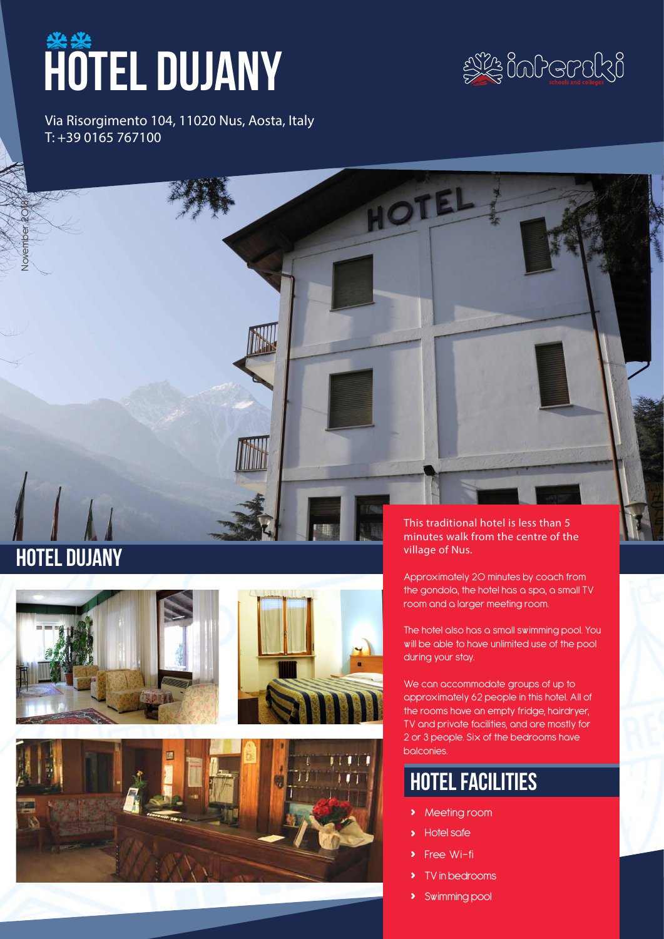# **HOTEL DUJANY**



Via Risorgimento 104, 11020 Nus, Aosta, Italy T: +39 0165 767100

## Hotel dujany

November 2018





This traditional hotel is less than 5 minutes walk from the centre of the village of Nus.

HOT

Approximately 20 minutes by coach from the gondola, the hotel has a spa, a small TV room and a larger meeting room.

The hotel also has a small swimming pool. You will be able to have unlimited use of the pool during your stay.

We can accommodate groups of up to approximately 62 people in this hotel. All of the rooms have an empty fridge, hairdryer, TV and private facilities, and are mostly for 2 or 3 people. Six of the bedrooms have balconies.

### hotel facilities

- **›** Meeting room
- **›** Hotel safe
- **Free Wi-fi**
- **›** TV in bedrooms
- **›** Swimming pool